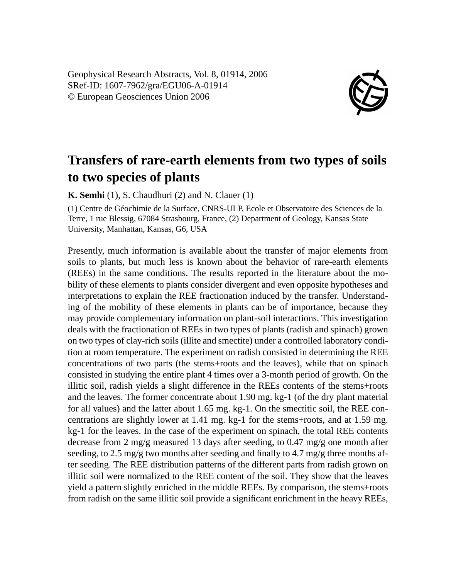Geophysical Research Abstracts, Vol. 8, 01914, 2006 SRef-ID: 1607-7962/gra/EGU06-A-01914 © European Geosciences Union 2006



## **Transfers of rare-earth elements from two types of soils to two species of plants**

**K. Semhi** (1), S. Chaudhuri (2) and N. Clauer (1)

(1) Centre de Géochimie de la Surface, CNRS-ULP, Ecole et Observatoire des Sciences de la Terre, 1 rue Blessig, 67084 Strasbourg, France, (2) Department of Geology, Kansas State University, Manhattan, Kansas, G6, USA

Presently, much information is available about the transfer of major elements from soils to plants, but much less is known about the behavior of rare-earth elements (REEs) in the same conditions. The results reported in the literature about the mobility of these elements to plants consider divergent and even opposite hypotheses and interpretations to explain the REE fractionation induced by the transfer. Understanding of the mobility of these elements in plants can be of importance, because they may provide complementary information on plant-soil interactions. This investigation deals with the fractionation of REEs in two types of plants (radish and spinach) grown on two types of clay-rich soils (illite and smectite) under a controlled laboratory condition at room temperature. The experiment on radish consisted in determining the REE concentrations of two parts (the stems+roots and the leaves), while that on spinach consisted in studying the entire plant 4 times over a 3-month period of growth. On the illitic soil, radish yields a slight difference in the REEs contents of the stems+roots and the leaves. The former concentrate about 1.90 mg. kg-1 (of the dry plant material for all values) and the latter about 1.65 mg. kg-1. On the smectitic soil, the REE concentrations are slightly lower at 1.41 mg. kg-1 for the stems+roots, and at 1.59 mg. kg-1 for the leaves. In the case of the experiment on spinach, the total REE contents decrease from 2 mg/g measured 13 days after seeding, to 0.47 mg/g one month after seeding, to 2.5 mg/g two months after seeding and finally to 4.7 mg/g three months after seeding. The REE distribution patterns of the different parts from radish grown on illitic soil were normalized to the REE content of the soil. They show that the leaves yield a pattern slightly enriched in the middle REEs. By comparison, the stems+roots from radish on the same illitic soil provide a significant enrichment in the heavy REEs,